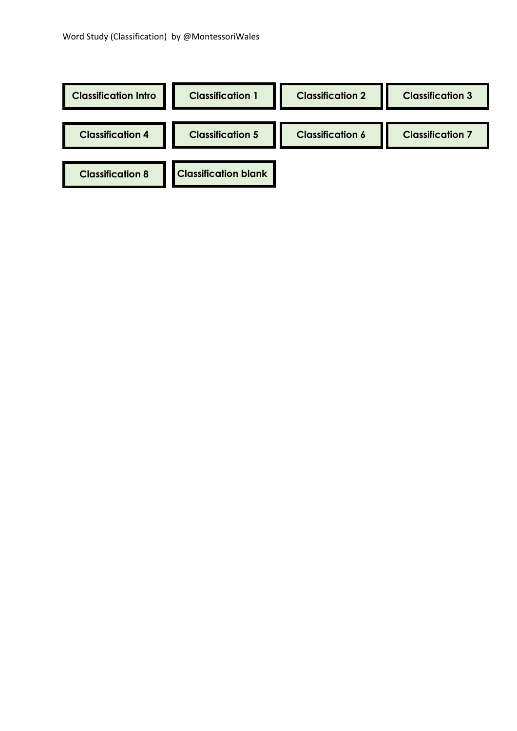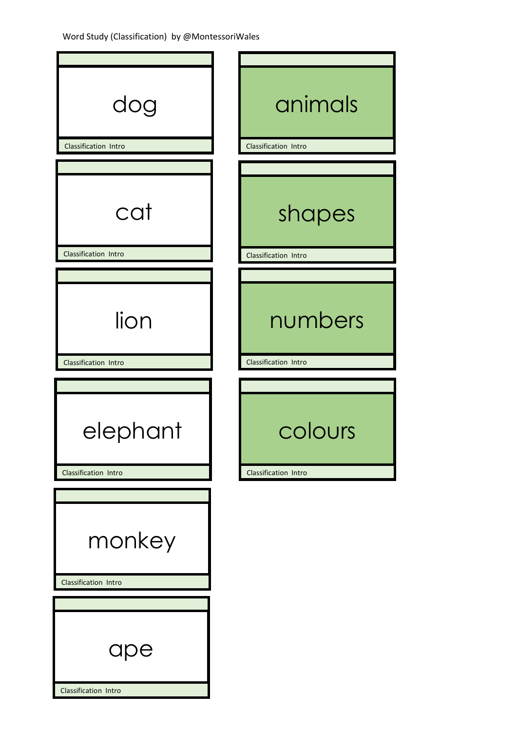| dog<br>Classification Intro    | animals<br>Classification Intro |
|--------------------------------|---------------------------------|
|                                |                                 |
| cat<br>Classification Intro    | shapes<br>Classification Intro  |
|                                |                                 |
| lion                           | numbers                         |
| Classification Intro           | Classification Intro            |
|                                |                                 |
| elephant                       | colours                         |
| Classification Intro           | Classification Intro            |
| monkey<br>Classification Intro |                                 |
|                                |                                 |
|                                |                                 |
| ape<br>Classification Intro    |                                 |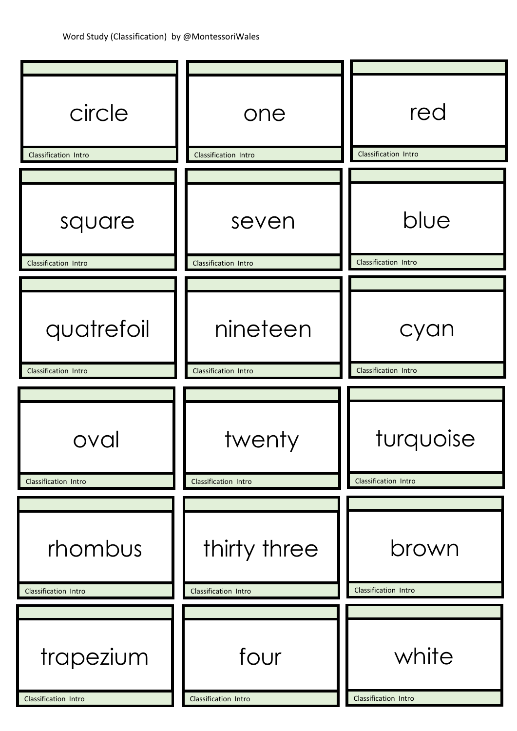| circle               | one                  | red                  |
|----------------------|----------------------|----------------------|
| Classification Intro | Classification Intro | Classification Intro |
| square               | seven                | blue                 |
| Classification Intro | Classification Intro | Classification Intro |
| quatrefoil           | nineteen             | cyan                 |
| Classification Intro | Classification Intro | Classification Intro |
|                      |                      |                      |
| oval                 | twenty               | turquoise            |
| Classification Intro | Classification Intro | Classification Intro |
| rhombus              | thirty three         | brown                |
| Classification Intro | Classification Intro | Classification Intro |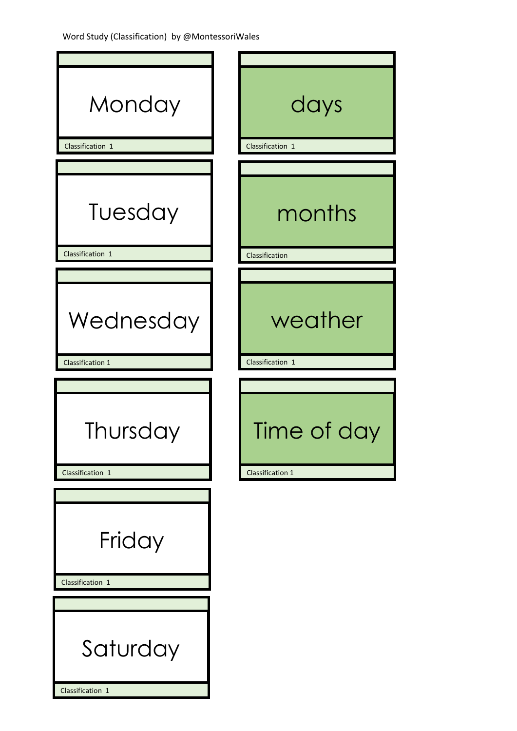| Monday                     | days             |
|----------------------------|------------------|
| Classification 1           | Classification 1 |
| Tuesday                    | months           |
| Classification 1           | Classification   |
| Wednesday                  | weather          |
| <b>Classification 1</b>    | Classification 1 |
| Thursday                   | Time of day      |
| Classification 1           | Classification 1 |
| Friday<br>Classification 1 |                  |
| Saturday                   |                  |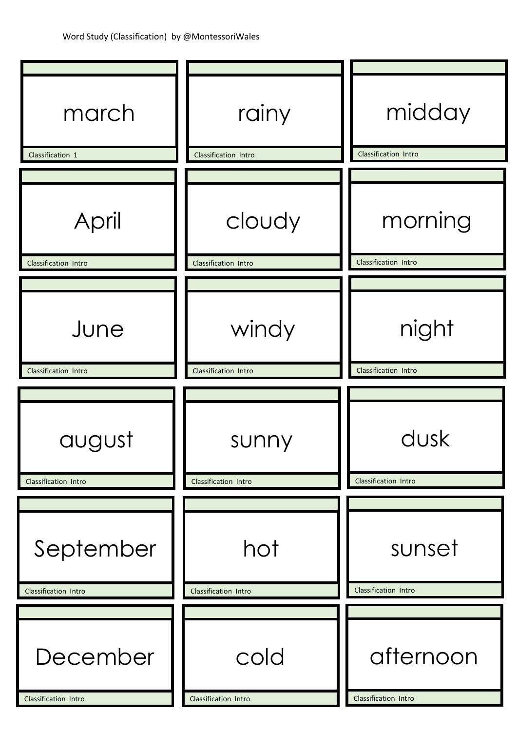| march                | rainy                | midday               |
|----------------------|----------------------|----------------------|
| Classification 1     | Classification Intro | Classification Intro |
| April                | cloudy               | morning              |
| Classification Intro | Classification Intro | Classification Intro |
| June                 | windy                | night                |
| Classification Intro | Classification Intro | Classification Intro |
| august               | sunny                | dusk                 |
| Classification Intro | Classification Intro | Classification Intro |
| September            | hot                  | sunset               |
| Classification Intro | Classification Intro | Classification Intro |
| December             | cold                 | afternoon            |
| Classification Intro | Classification Intro | Classification Intro |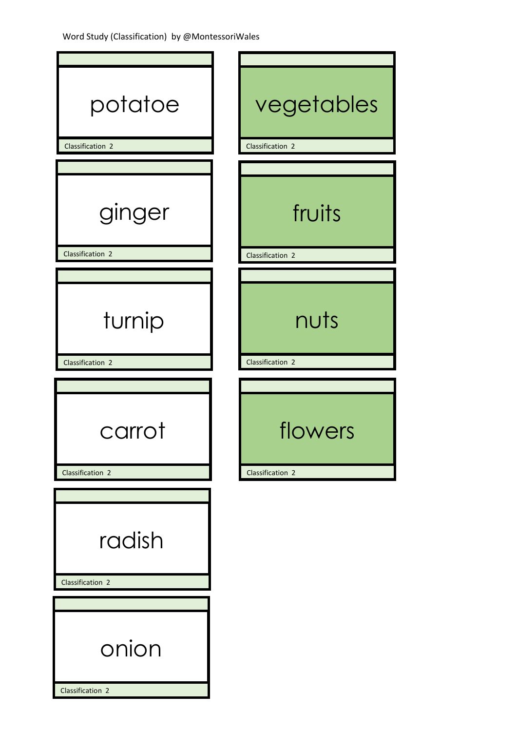| potatoe          | vegetables       |
|------------------|------------------|
|                  |                  |
| Classification 2 | Classification 2 |
|                  |                  |
| ginger           | fruits           |
| Classification 2 | Classification 2 |
|                  |                  |
| turnip           | nuts             |
| Classification 2 | Classification 2 |
|                  |                  |
| carrot           | flowers          |
| Classification 2 | Classification 2 |
|                  |                  |
| radish           |                  |
| Classification 2 |                  |
|                  |                  |
| onion            |                  |
| Classification 2 |                  |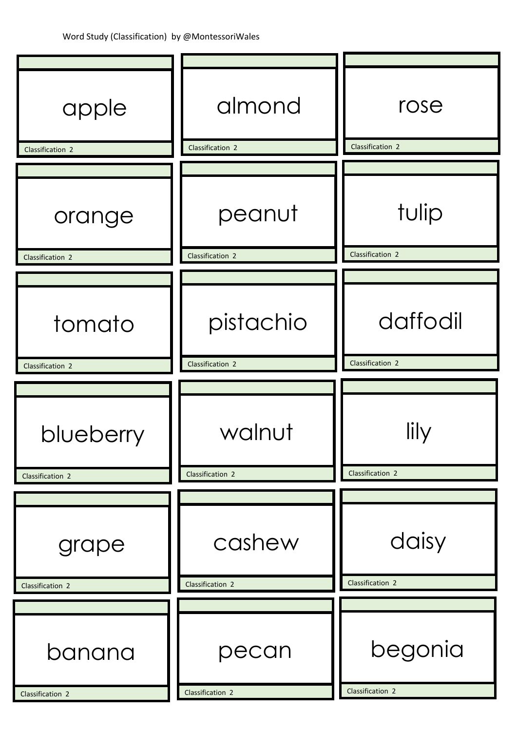| apple                      | almond                     | rose                        |
|----------------------------|----------------------------|-----------------------------|
| Classification 2           | Classification 2           | Classification 2            |
| orange<br>Classification 2 | peanut<br>Classification 2 | tulip<br>Classification 2   |
|                            |                            |                             |
| tomato                     | pistachio                  | daffodil                    |
| Classification 2           | Classification 2           | Classification 2            |
| blueberry                  | walnut                     | lily<br>Classification 2    |
| Classification 2           | Classification 2           |                             |
| grape<br>Classification 2  | cashew<br>Classification 2 | daisy<br>Classification 2   |
|                            |                            |                             |
| banana<br>Classification 2 | pecan<br>Classification 2  | begonia<br>Classification 2 |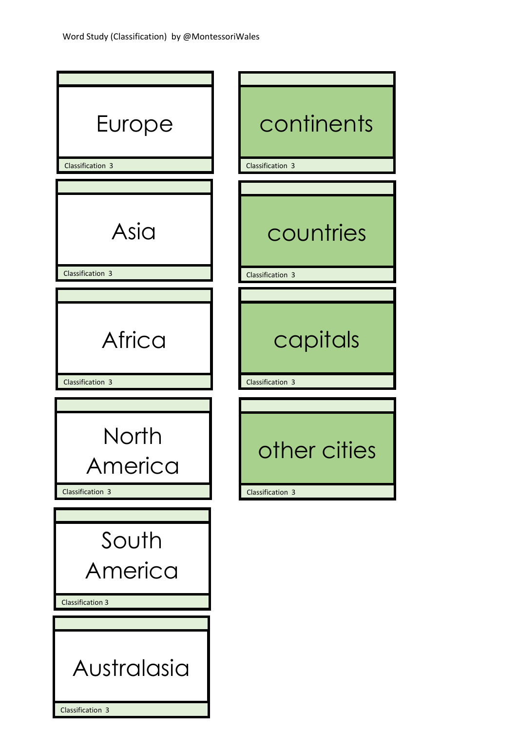| Europe<br>Classification 3                  | continents<br>Classification 3   |
|---------------------------------------------|----------------------------------|
|                                             |                                  |
| Asia                                        | countries                        |
| Classification 3                            | Classification 3                 |
| Africa<br>Classification 3                  | capitals<br>Classification 3     |
|                                             |                                  |
| North<br>America<br>Classification 3        | other cities<br>Classification 3 |
|                                             |                                  |
| South<br>America<br><b>Classification 3</b> |                                  |
|                                             |                                  |
|                                             |                                  |

Classification 3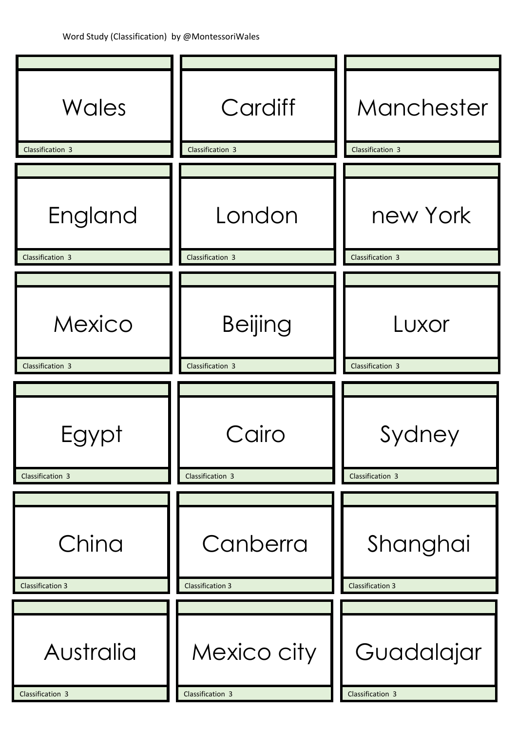| Wales                         | Cardiff                         | Manchester                     |
|-------------------------------|---------------------------------|--------------------------------|
| Classification 3              | Classification 3                | Classification 3               |
| England<br>Classification 3   | London<br>Classification 3      | new York<br>Classification 3   |
|                               |                                 |                                |
| Mexico                        | <b>Beijing</b>                  | Luxor                          |
| Classification 3              | Classification 3                | Classification 3               |
| Egypt<br>Classification 3     | Cairo<br>Classification 3       | Sydney<br>Classification 3     |
|                               |                                 |                                |
| China                         | Canberra                        | Shanghai                       |
| <b>Classification 3</b>       | <b>Classification 3</b>         | <b>Classification 3</b>        |
| Australia<br>Classification 3 | Mexico city<br>Classification 3 | Guadalajar<br>Classification 3 |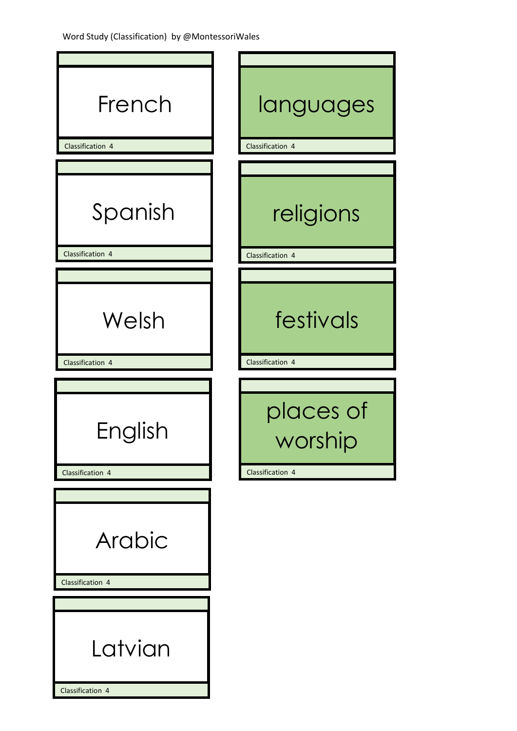| French<br>Classification 4  | languages<br>Classification 4            |
|-----------------------------|------------------------------------------|
|                             |                                          |
| Spanish<br>Classification 4 | religions<br>Classification 4            |
|                             |                                          |
| Welsh                       | festivals                                |
| Classification 4            | Classification 4                         |
| English<br>Classification 4 | places of<br>worship<br>Classification 4 |
|                             |                                          |
| Arabic<br>Classification 4  |                                          |
|                             |                                          |
| Latvian<br>Classification 4 |                                          |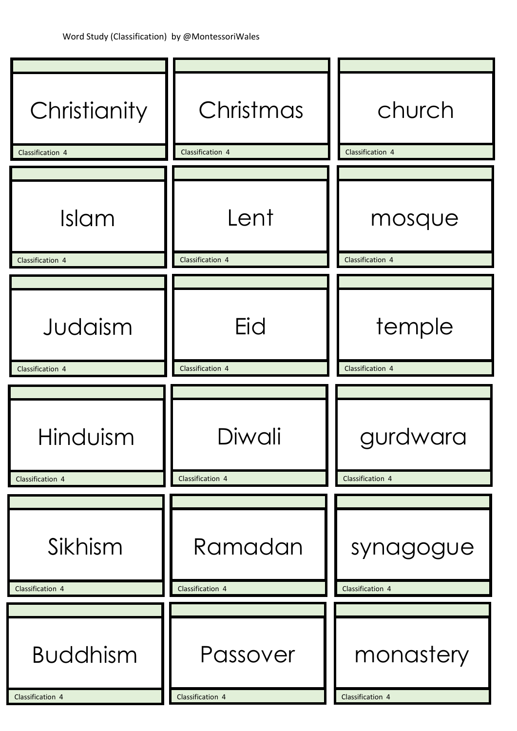| Christianity                        | Christmas                    | church                        |
|-------------------------------------|------------------------------|-------------------------------|
| Classification 4                    | Classification 4             | Classification 4              |
| Islam<br>Classification 4           | Lent<br>Classification 4     | mosque<br>Classification 4    |
|                                     |                              |                               |
| Judaism                             | Eid                          | temple                        |
| Classification 4                    | Classification 4             | Classification 4              |
| Hinduism<br>Classification 4        | Diwali<br>Classification 4   | gurdwara<br>Classification 4  |
|                                     |                              |                               |
| Sikhism<br>Classification 4         | Ramadan<br>Classification 4  | synagogue<br>Classification 4 |
|                                     |                              |                               |
| <b>Buddhism</b><br>Classification 4 | Passover<br>Classification 4 | monastery<br>Classification 4 |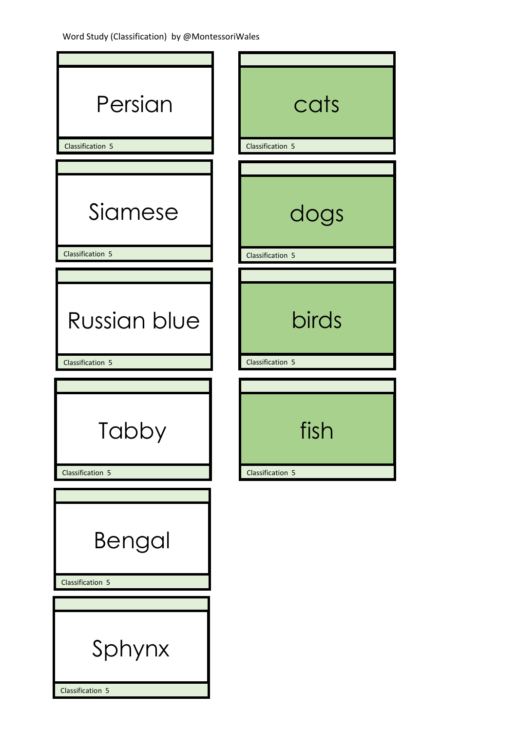| cats<br>Classification 5 |
|--------------------------|
|                          |
| dogs<br>Classification 5 |
|                          |
| birds                    |
| Classification 5         |
| fish                     |
| Classification 5         |
|                          |
|                          |
|                          |
|                          |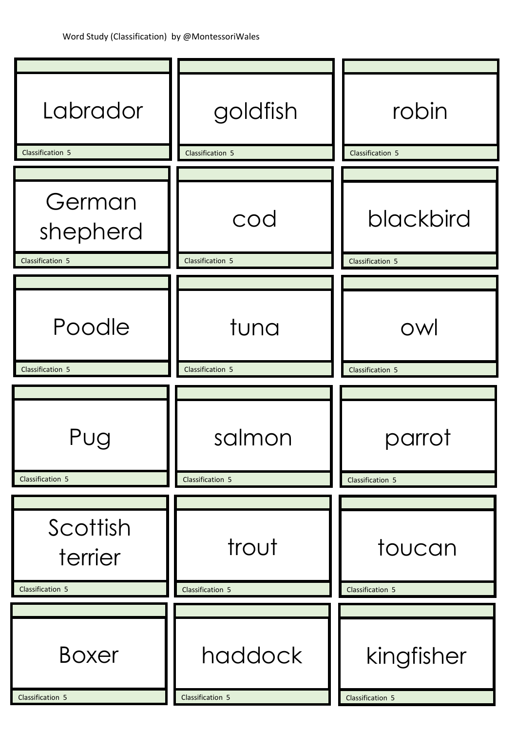| Labrador                               | goldfish                    | robin                          |
|----------------------------------------|-----------------------------|--------------------------------|
| Classification 5                       | Classification 5            | Classification 5               |
| German<br>shepherd<br>Classification 5 | cod<br>Classification 5     | blackbird<br>Classification 5  |
|                                        |                             |                                |
| Poodle                                 | tuna                        | OW                             |
| Classification 5                       | Classification 5            | Classification 5               |
| Pug<br>Classification 5                | salmon<br>Classification 5  | parrot<br>Classification 5     |
|                                        |                             |                                |
| Scottish<br>terrier                    | trout                       | toucan                         |
| Classification 5                       | Classification 5            | Classification 5               |
| <b>Boxer</b><br>Classification 5       | haddock<br>Classification 5 | kingfisher<br>Classification 5 |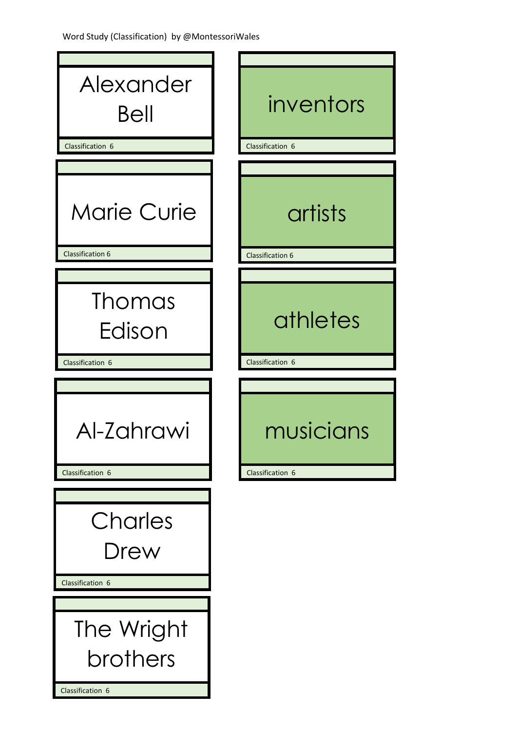| Alexander<br>Bell                             | inventors                          |
|-----------------------------------------------|------------------------------------|
| Classification 6                              | Classification 6                   |
| <b>Marie Curie</b><br><b>Classification 6</b> | artists<br><b>Classification 6</b> |
|                                               |                                    |
| Thomas<br>Edison                              | athletes                           |
| Classification 6                              | Classification 6                   |
| Al-Zahrawi                                    | musicians                          |
| Classification 6                              | Classification 6                   |
| Charles<br>Drew<br>Classification 6           |                                    |
|                                               |                                    |
| The Wright                                    |                                    |
| brothers                                      |                                    |
| Classification 6                              |                                    |

 $\mathcal{L}$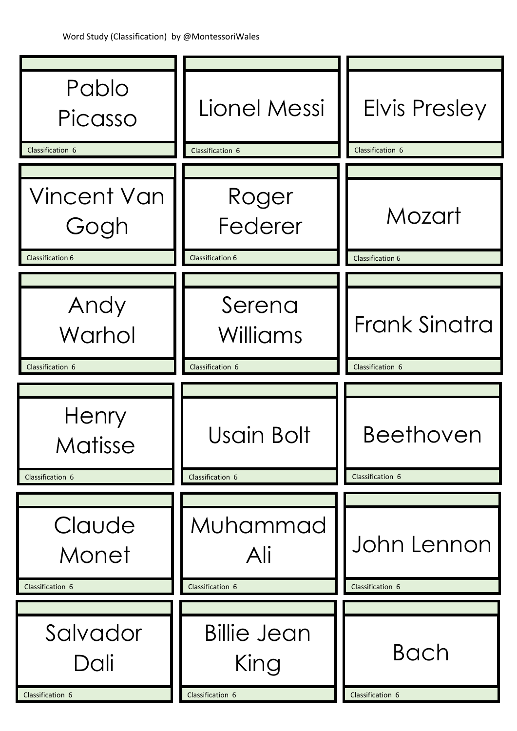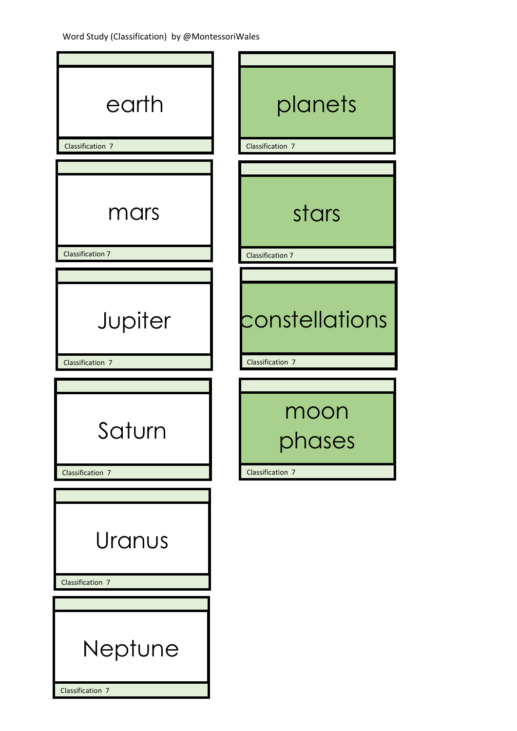| earth<br>Classification 7       | planets<br>Classification 7      |
|---------------------------------|----------------------------------|
|                                 |                                  |
| mars<br><b>Classification 7</b> | stars<br><b>Classification 7</b> |
|                                 |                                  |
| Jupiter                         | constellations                   |
| Classification 7                | Classification 7                 |
| Saturn                          | moon<br>phases                   |
| Classification 7                | Classification 7                 |
| Uranus<br>Classification 7      |                                  |
|                                 |                                  |
| Neptune                         |                                  |
| Classification 7                |                                  |

I

Ī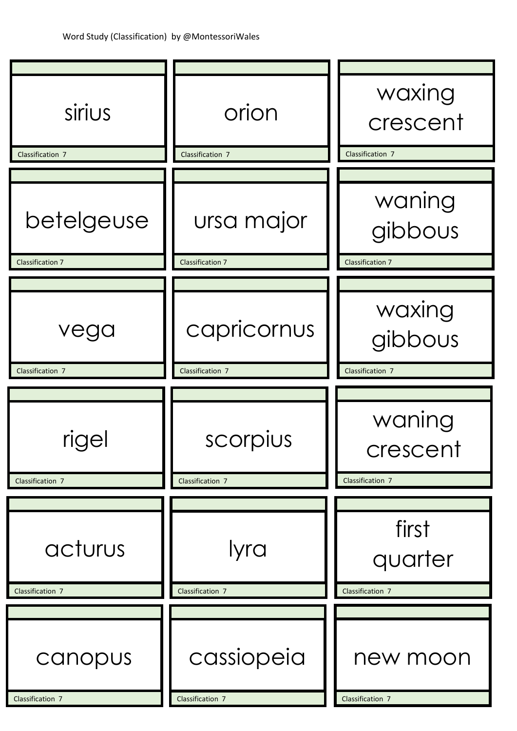| sirius                                | orion                                 | waxing<br>crescent                           |
|---------------------------------------|---------------------------------------|----------------------------------------------|
| Classification 7                      | Classification 7                      | Classification 7                             |
| betelgeuse<br><b>Classification 7</b> | ursa major<br><b>Classification 7</b> | waning<br>gibbous<br><b>Classification 7</b> |
|                                       |                                       |                                              |
| vega                                  | capricornus                           | waxing<br>gibbous                            |
| Classification 7                      | Classification 7                      | Classification 7                             |
|                                       |                                       |                                              |
| rigel                                 | scorpius                              | waning<br>crescent                           |
| Classification 7                      | Classification 7                      | Classification 7                             |
| acturus<br>Classification 7           | lyra<br>Classification 7              | first<br>quarter<br>Classification 7         |
|                                       |                                       |                                              |
| canopus<br>Classification 7           | cassiopeia<br>Classification 7        | new moon<br>Classification 7                 |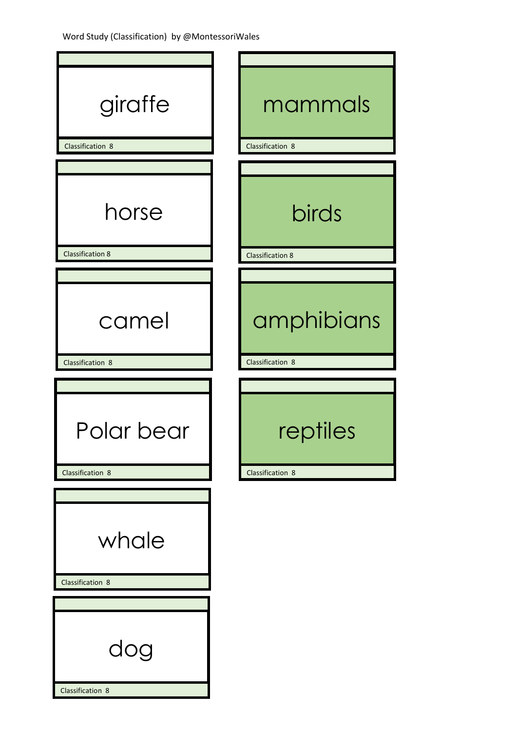| giraffe<br>Classification 8      | mammals<br>Classification 8             |
|----------------------------------|-----------------------------------------|
|                                  |                                         |
| horse<br><b>Classification 8</b> | <b>birds</b><br><b>Classification 8</b> |
|                                  |                                         |
| camel                            | amphibians                              |
| Classification 8                 | Classification 8                        |
|                                  |                                         |
| Polar bear                       | reptiles                                |
| Classification 8                 | Classification 8                        |
| whale<br>Classification 8        |                                         |
|                                  |                                         |
| dog<br>Classification 8          |                                         |
|                                  |                                         |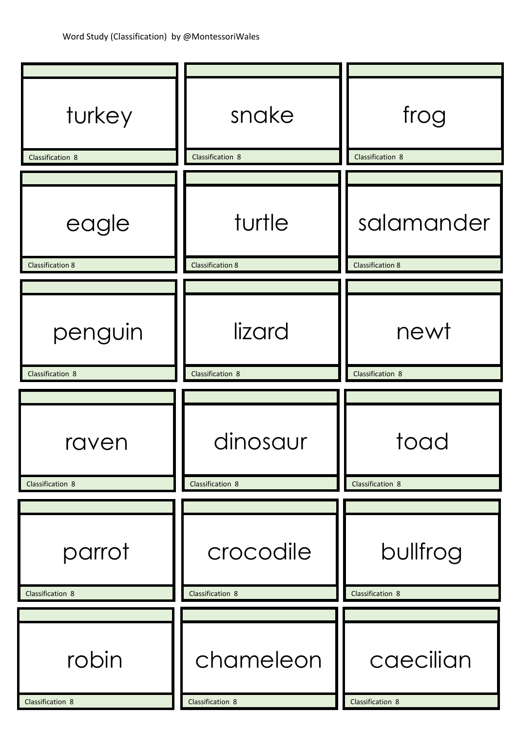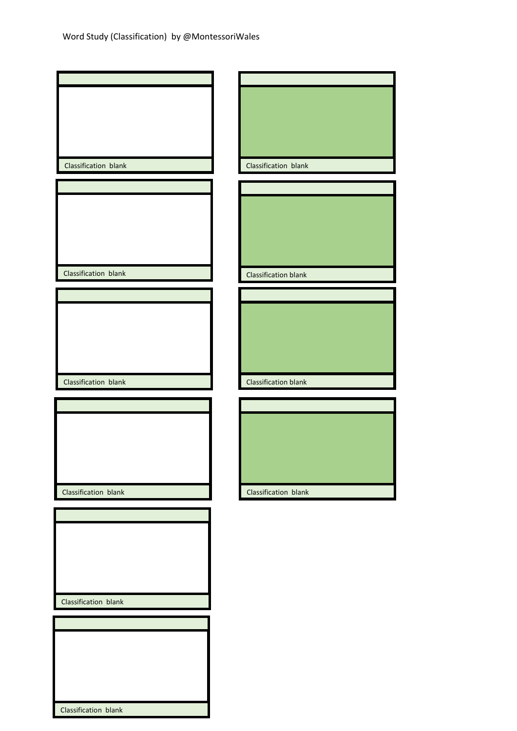